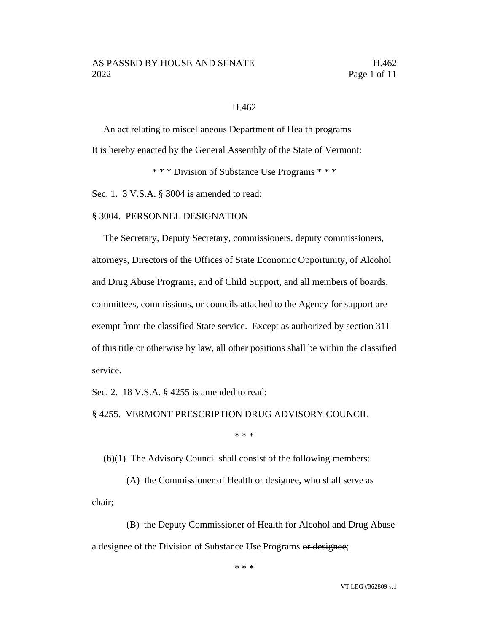#### H.462

An act relating to miscellaneous Department of Health programs It is hereby enacted by the General Assembly of the State of Vermont:

\* \* \* Division of Substance Use Programs \* \* \*

Sec. 1. 3 V.S.A. § 3004 is amended to read:

#### § 3004. PERSONNEL DESIGNATION

The Secretary, Deputy Secretary, commissioners, deputy commissioners, attorneys, Directors of the Offices of State Economic Opportunity, of Alcohol and Drug Abuse Programs, and of Child Support, and all members of boards, committees, commissions, or councils attached to the Agency for support are exempt from the classified State service. Except as authorized by section 311 of this title or otherwise by law, all other positions shall be within the classified service.

Sec. 2. 18 V.S.A. § 4255 is amended to read:

§ 4255. VERMONT PRESCRIPTION DRUG ADVISORY COUNCIL

\* \* \*

(b)(1) The Advisory Council shall consist of the following members:

(A) the Commissioner of Health or designee, who shall serve as chair;

(B) the Deputy Commissioner of Health for Alcohol and Drug Abuse a designee of the Division of Substance Use Programs or designee;

\* \* \*

VT LEG #362809 v.1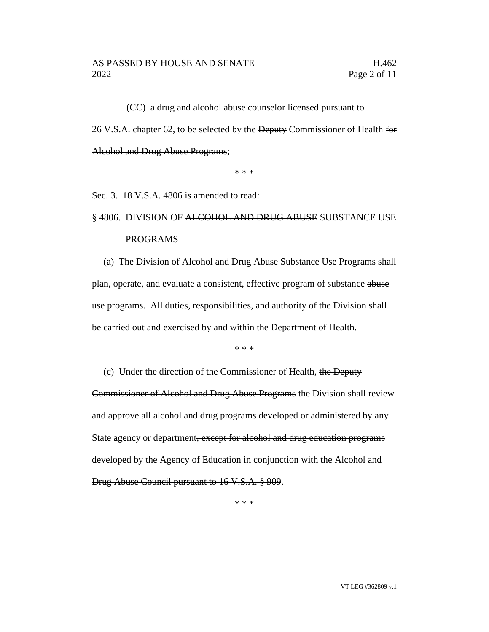(CC) a drug and alcohol abuse counselor licensed pursuant to 26 V.S.A. chapter 62, to be selected by the Deputy Commissioner of Health for Alcohol and Drug Abuse Programs;

\* \* \*

Sec. 3. 18 V.S.A. 4806 is amended to read:

# § 4806. DIVISION OF ALCOHOL AND DRUG ABUSE SUBSTANCE USE PROGRAMS

(a) The Division of Alcohol and Drug Abuse Substance Use Programs shall plan, operate, and evaluate a consistent, effective program of substance abuse use programs. All duties, responsibilities, and authority of the Division shall be carried out and exercised by and within the Department of Health.

\* \* \*

(c) Under the direction of the Commissioner of Health, the Deputy Commissioner of Alcohol and Drug Abuse Programs the Division shall review and approve all alcohol and drug programs developed or administered by any State agency or department, except for alcohol and drug education programs developed by the Agency of Education in conjunction with the Alcohol and Drug Abuse Council pursuant to 16 V.S.A. § 909.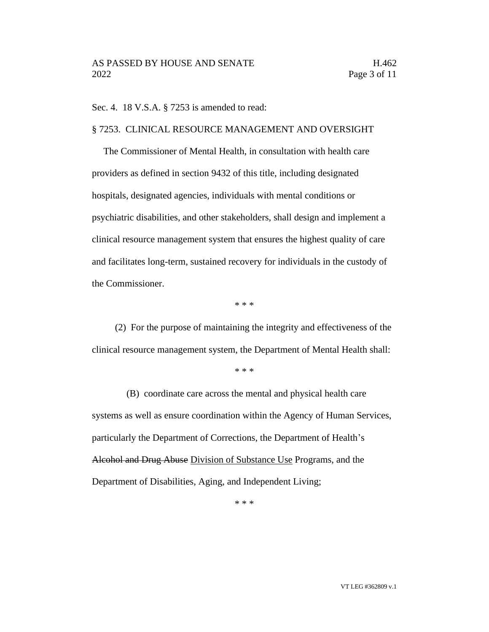Sec. 4. 18 V.S.A. § 7253 is amended to read:

#### § 7253. CLINICAL RESOURCE MANAGEMENT AND OVERSIGHT

The Commissioner of Mental Health, in consultation with health care providers as defined in section 9432 of this title, including designated hospitals, designated agencies, individuals with mental conditions or psychiatric disabilities, and other stakeholders, shall design and implement a clinical resource management system that ensures the highest quality of care and facilitates long-term, sustained recovery for individuals in the custody of the Commissioner.

\* \* \*

(2) For the purpose of maintaining the integrity and effectiveness of the clinical resource management system, the Department of Mental Health shall:

\* \* \*

(B) coordinate care across the mental and physical health care systems as well as ensure coordination within the Agency of Human Services, particularly the Department of Corrections, the Department of Health's Alcohol and Drug Abuse Division of Substance Use Programs, and the Department of Disabilities, Aging, and Independent Living;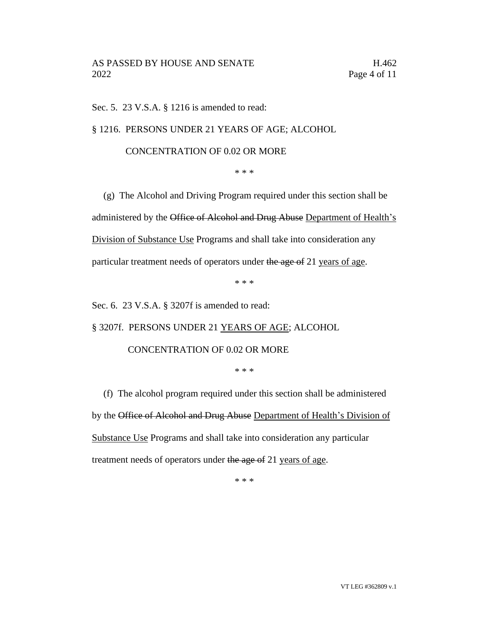Sec. 5. 23 V.S.A. § 1216 is amended to read:

§ 1216. PERSONS UNDER 21 YEARS OF AGE; ALCOHOL

# CONCENTRATION OF 0.02 OR MORE

\* \* \*

(g) The Alcohol and Driving Program required under this section shall be administered by the Office of Alcohol and Drug Abuse Department of Health's Division of Substance Use Programs and shall take into consideration any particular treatment needs of operators under the age of 21 years of age.

\* \* \*

Sec. 6. 23 V.S.A. § 3207f is amended to read:

§ 3207f. PERSONS UNDER 21 YEARS OF AGE; ALCOHOL

## CONCENTRATION OF 0.02 OR MORE

\* \* \*

(f) The alcohol program required under this section shall be administered by the Office of Alcohol and Drug Abuse Department of Health's Division of Substance Use Programs and shall take into consideration any particular treatment needs of operators under the age of 21 years of age.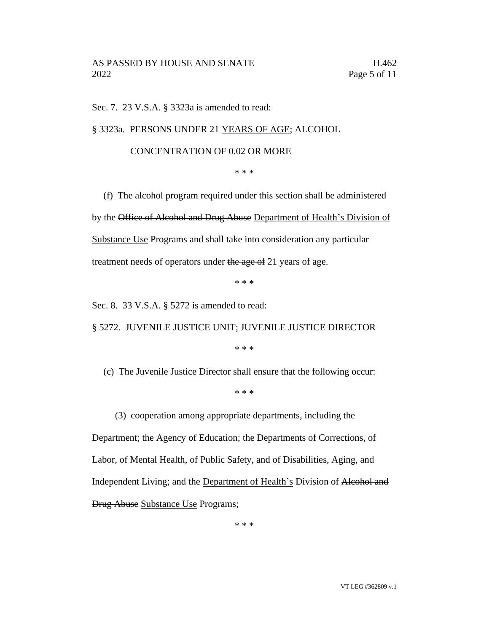Sec. 7. 23 V.S.A. § 3323a is amended to read:

§ 3323a. PERSONS UNDER 21 YEARS OF AGE; ALCOHOL

## CONCENTRATION OF 0.02 OR MORE

\* \* \*

(f) The alcohol program required under this section shall be administered by the Office of Alcohol and Drug Abuse Department of Health's Division of Substance Use Programs and shall take into consideration any particular treatment needs of operators under the age of 21 years of age.

\* \* \*

Sec. 8. 33 V.S.A. § 5272 is amended to read:

§ 5272. JUVENILE JUSTICE UNIT; JUVENILE JUSTICE DIRECTOR

\* \* \*

(c) The Juvenile Justice Director shall ensure that the following occur:

\* \* \*

(3) cooperation among appropriate departments, including the

Department; the Agency of Education; the Departments of Corrections, of Labor, of Mental Health, of Public Safety, and of Disabilities, Aging, and Independent Living; and the Department of Health's Division of Alcohol and Drug Abuse Substance Use Programs;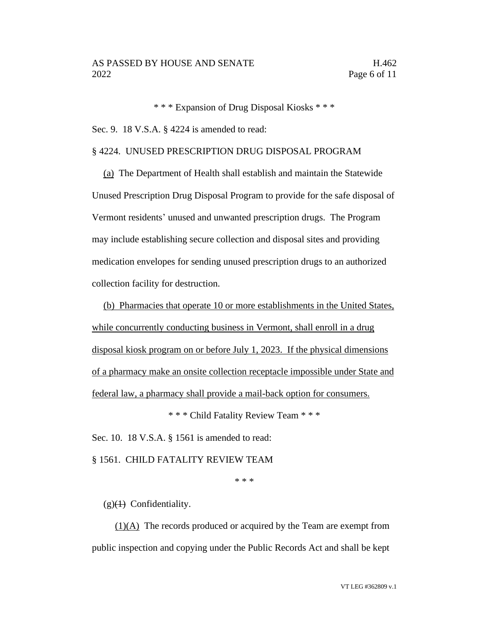\* \* \* Expansion of Drug Disposal Kiosks \* \* \*

Sec. 9. 18 V.S.A. § 4224 is amended to read:

#### § 4224. UNUSED PRESCRIPTION DRUG DISPOSAL PROGRAM

(a) The Department of Health shall establish and maintain the Statewide Unused Prescription Drug Disposal Program to provide for the safe disposal of Vermont residents' unused and unwanted prescription drugs. The Program may include establishing secure collection and disposal sites and providing medication envelopes for sending unused prescription drugs to an authorized collection facility for destruction.

(b) Pharmacies that operate 10 or more establishments in the United States, while concurrently conducting business in Vermont, shall enroll in a drug disposal kiosk program on or before July 1, 2023. If the physical dimensions of a pharmacy make an onsite collection receptacle impossible under State and federal law, a pharmacy shall provide a mail-back option for consumers.

\* \* \* Child Fatality Review Team \* \* \*

Sec. 10. 18 V.S.A. § 1561 is amended to read:

§ 1561. CHILD FATALITY REVIEW TEAM

\* \* \*

 $(g)(1)$  Confidentiality.

 $(1)(A)$  The records produced or acquired by the Team are exempt from public inspection and copying under the Public Records Act and shall be kept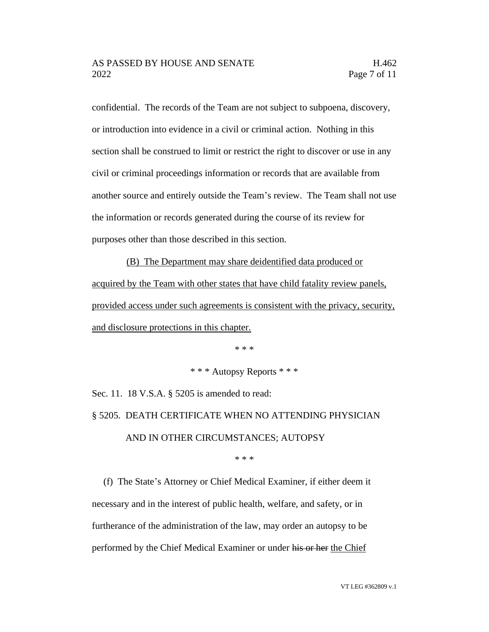confidential. The records of the Team are not subject to subpoena, discovery, or introduction into evidence in a civil or criminal action. Nothing in this section shall be construed to limit or restrict the right to discover or use in any civil or criminal proceedings information or records that are available from another source and entirely outside the Team's review. The Team shall not use the information or records generated during the course of its review for purposes other than those described in this section.

(B) The Department may share deidentified data produced or acquired by the Team with other states that have child fatality review panels, provided access under such agreements is consistent with the privacy, security, and disclosure protections in this chapter.

\* \* \*

\* \* \* Autopsy Reports \* \* \*

Sec. 11. 18 V.S.A. § 5205 is amended to read: § 5205. DEATH CERTIFICATE WHEN NO ATTENDING PHYSICIAN AND IN OTHER CIRCUMSTANCES; AUTOPSY

\* \* \*

(f) The State's Attorney or Chief Medical Examiner, if either deem it necessary and in the interest of public health, welfare, and safety, or in furtherance of the administration of the law, may order an autopsy to be performed by the Chief Medical Examiner or under his or her the Chief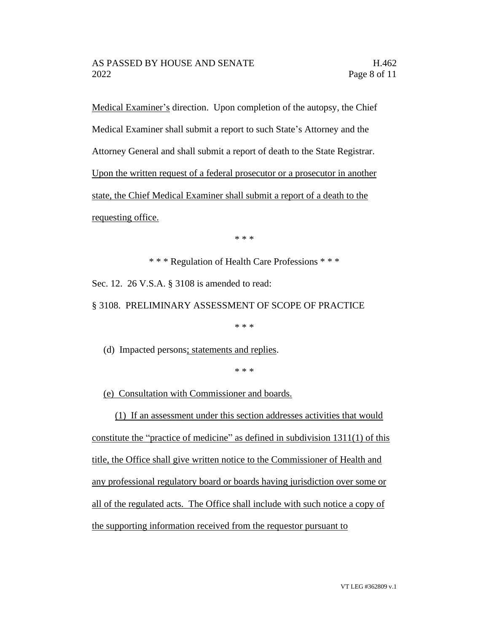Medical Examiner's direction. Upon completion of the autopsy, the Chief Medical Examiner shall submit a report to such State's Attorney and the Attorney General and shall submit a report of death to the State Registrar. Upon the written request of a federal prosecutor or a prosecutor in another state, the Chief Medical Examiner shall submit a report of a death to the requesting office.

\* \* \*

\* \* \* Regulation of Health Care Professions \* \* \*

Sec. 12. 26 V.S.A. § 3108 is amended to read:

§ 3108. PRELIMINARY ASSESSMENT OF SCOPE OF PRACTICE

\* \* \*

(d) Impacted persons; statements and replies.

\* \* \*

(e) Consultation with Commissioner and boards.

(1) If an assessment under this section addresses activities that would constitute the "practice of medicine" as defined in subdivision 1311(1) of this title, the Office shall give written notice to the Commissioner of Health and any professional regulatory board or boards having jurisdiction over some or all of the regulated acts. The Office shall include with such notice a copy of the supporting information received from the requestor pursuant to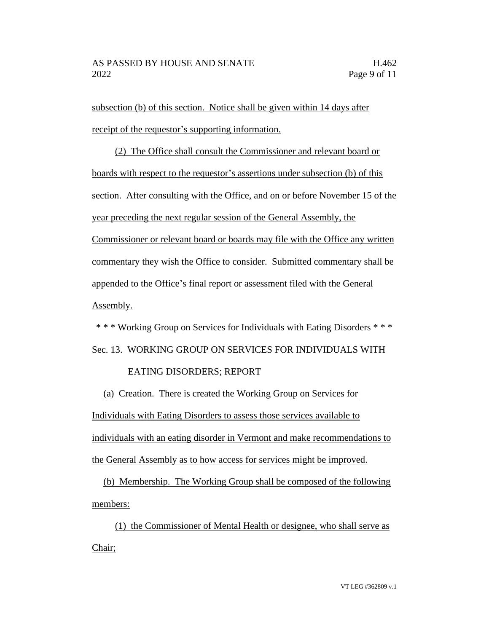subsection (b) of this section. Notice shall be given within 14 days after receipt of the requestor's supporting information.

(2) The Office shall consult the Commissioner and relevant board or boards with respect to the requestor's assertions under subsection (b) of this section. After consulting with the Office, and on or before November 15 of the year preceding the next regular session of the General Assembly, the Commissioner or relevant board or boards may file with the Office any written commentary they wish the Office to consider. Submitted commentary shall be appended to the Office's final report or assessment filed with the General Assembly.

\* \* \* Working Group on Services for Individuals with Eating Disorders \* \* \* Sec. 13. WORKING GROUP ON SERVICES FOR INDIVIDUALS WITH

## EATING DISORDERS; REPORT

(a) Creation. There is created the Working Group on Services for Individuals with Eating Disorders to assess those services available to individuals with an eating disorder in Vermont and make recommendations to the General Assembly as to how access for services might be improved.

(b) Membership. The Working Group shall be composed of the following members:

(1) the Commissioner of Mental Health or designee, who shall serve as Chair;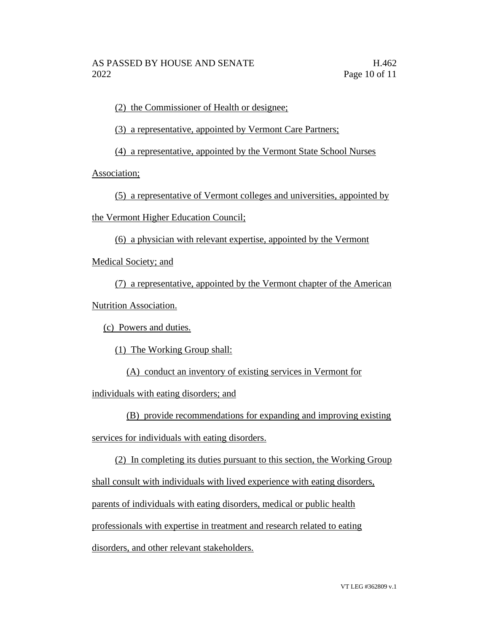(2) the Commissioner of Health or designee;

(3) a representative, appointed by Vermont Care Partners;

(4) a representative, appointed by the Vermont State School Nurses

Association;

(5) a representative of Vermont colleges and universities, appointed by

the Vermont Higher Education Council;

(6) a physician with relevant expertise, appointed by the Vermont

Medical Society; and

(7) a representative, appointed by the Vermont chapter of the American Nutrition Association.

(c) Powers and duties.

(1) The Working Group shall:

(A) conduct an inventory of existing services in Vermont for

individuals with eating disorders; and

(B) provide recommendations for expanding and improving existing

services for individuals with eating disorders.

(2) In completing its duties pursuant to this section, the Working Group

shall consult with individuals with lived experience with eating disorders,

parents of individuals with eating disorders, medical or public health

professionals with expertise in treatment and research related to eating

disorders, and other relevant stakeholders.